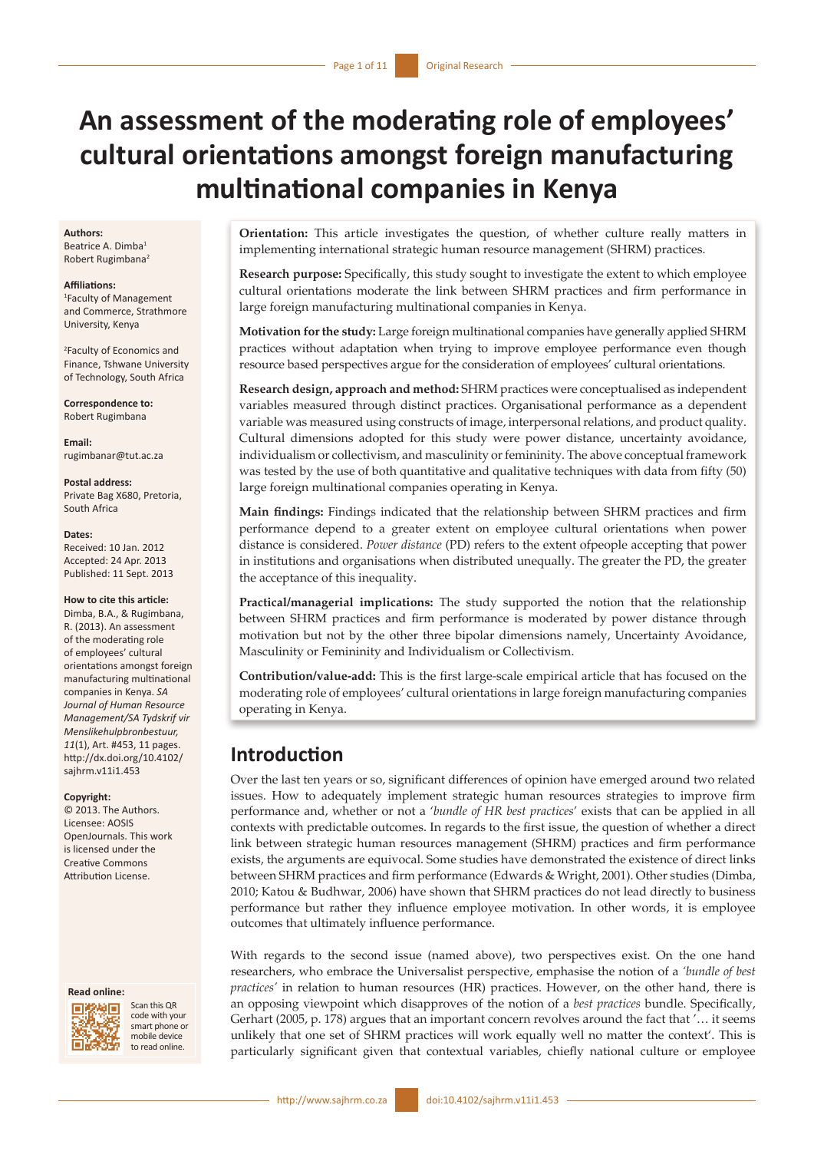# **An assessment of the moderating role of employees' cultural orientations amongst foreign manufacturing multinational companies in Kenya**

#### **Authors:**

Beatrice A. Dimba<sup>1</sup> Robert Rugimbana2

#### **Affiliations:**

1 Faculty of Management and Commerce, Strathmore University, Kenya

2 Faculty of Economics and Finance, Tshwane University of Technology, South Africa

**Correspondence to:** Robert Rugimbana

**Email:** [rugimbanar@tut.ac.za](mailto:rugimbanar@tut.ac.za)

**Postal address:** Private Bag X680, Pretoria, South Africa

#### **Dates:**

Received: 10 Jan. 2012 Accepted: 24 Apr. 2013 Published: 11 Sept. 2013

#### **How to cite this article:**

Dimba, B.A., & Rugimbana, R. (2013). An assessment of the moderating role of employees' cultural orientations amongst foreign manufacturing multinational companies in Kenya. *SA Journal of Human Resource Management/SA Tydskrif vir Menslikehulpbronbestuur, 11*(1), Art. #453, 11 pages. [http://dx.doi.org/10.4102/](http://dx.doi.org/10.4102/sajhrm.v11i1.453) [sajhrm.v11i1.453](http://dx.doi.org/10.4102/sajhrm.v11i1.453)

#### **Copyright:**

© 2013. The Authors. Licensee: AOSIS OpenJournals. This work is licensed under the Creative Commons Attribution License.

#### **Read online:**



Scan this QR code with your smart phone or mobile device to read online.

**Orientation:** This article investigates the question, of whether culture really matters in implementing international strategic human resource management (SHRM) practices.

**Research purpose:** Specifically, this study sought to investigate the extent to which employee cultural orientations moderate the link between SHRM practices and firm performance in large foreign manufacturing multinational companies in Kenya.

**Motivation for the study:** Large foreign multinational companies have generally applied SHRM practices without adaptation when trying to improve employee performance even though resource based perspectives argue for the consideration of employees' cultural orientations.

**Research design, approach and method:** SHRM practices were conceptualised as independent variables measured through distinct practices. Organisational performance as a dependent variable was measured using constructs of image, interpersonal relations, and product quality. Cultural dimensions adopted for this study were power distance, uncertainty avoidance, individualism or collectivism, and masculinity or femininity. The above conceptual framework was tested by the use of both quantitative and qualitative techniques with data from fifty (50) large foreign multinational companies operating in Kenya.

**Main findings:** Findings indicated that the relationship between SHRM practices and firm performance depend to a greater extent on employee cultural orientations when power distance is considered. *Power distance* (PD) refers to the extent ofpeople accepting that power in institutions and organisations when distributed unequally. The greater the PD, the greater the acceptance of this inequality.

**Practical/managerial implications:** The study supported the notion that the relationship between SHRM practices and firm performance is moderated by power distance through motivation but not by the other three bipolar dimensions namely, Uncertainty Avoidance, Masculinity or Femininity and Individualism or Collectivism.

**Contribution/value-add:** This is the first large-scale empirical article that has focused on the moderating role of employees' cultural orientations in large foreign manufacturing companies operating in Kenya.

# **Introduction**

Over the last ten years or so, significant differences of opinion have emerged around two related issues. How to adequately implement strategic human resources strategies to improve firm performance and, whether or not a '*bundle of HR best practices*' exists that can be applied in all contexts with predictable outcomes. In regards to the first issue, the question of whether a direct link between strategic human resources management (SHRM) practices and firm performance exists, the arguments are equivocal. Some studies have demonstrated the existence of direct links between SHRM practices and firm performance (Edwards & Wright, 2001). Other studies (Dimba, 2010; Katou & Budhwar, 2006) have shown that SHRM practices do not lead directly to business performance but rather they influence employee motivation. In other words, it is employee outcomes that ultimately influence performance.

With regards to the second issue (named above), two perspectives exist. On the one hand researchers, who embrace the Universalist perspective, emphasise the notion of a *'bundle of best practices'* in relation to human resources (HR) practices. However, on the other hand, there is an opposing viewpoint which disapproves of the notion of a *best practices* bundle. Specifically, Gerhart (2005, p. 178) argues that an important concern revolves around the fact that '… it seems unlikely that one set of SHRM practices will work equally well no matter the context'. This is particularly significant given that contextual variables, chiefly national culture or employee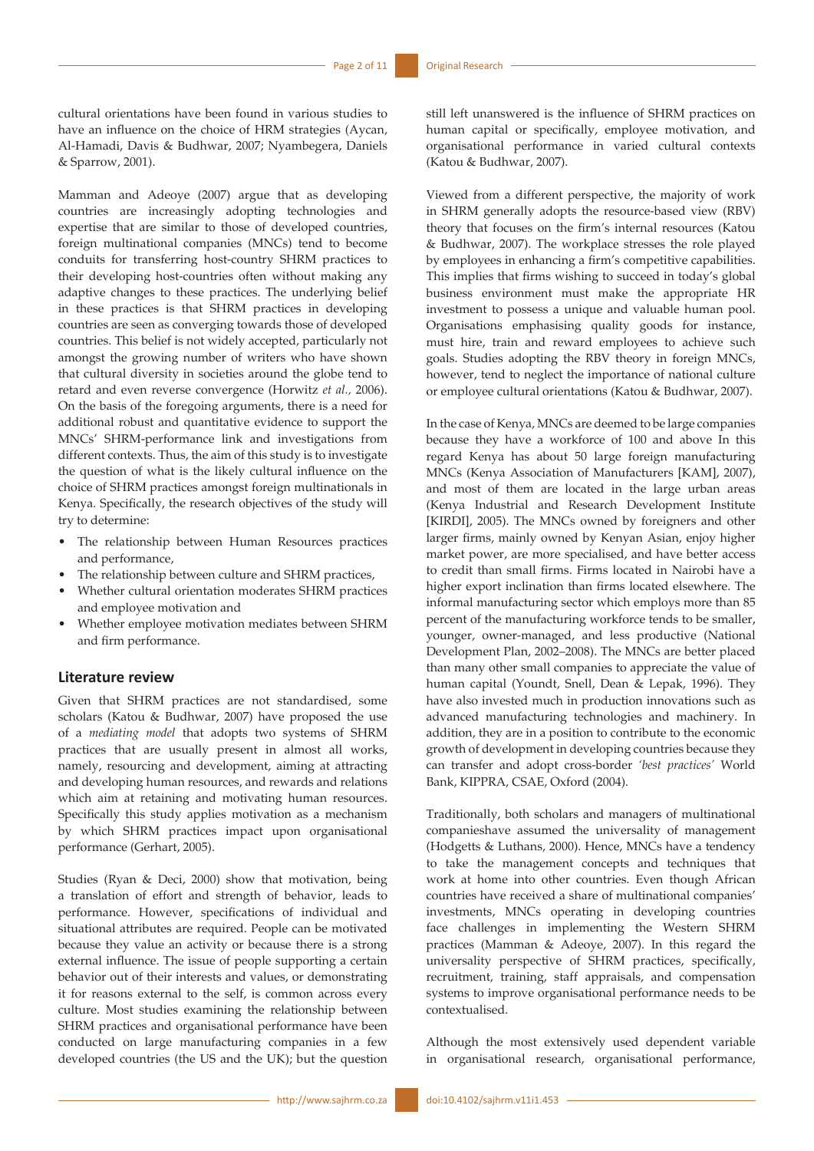cultural orientations have been found in various studies to have an influence on the choice of HRM strategies (Aycan, Al-Hamadi, Davis & Budhwar, 2007; Nyambegera, Daniels & Sparrow, 2001).

Mamman and Adeoye (2007) argue that as developing countries are increasingly adopting technologies and expertise that are similar to those of developed countries, foreign multinational companies (MNCs) tend to become conduits for transferring host-country SHRM practices to their developing host-countries often without making any adaptive changes to these practices. The underlying belief in these practices is that SHRM practices in developing countries are seen as converging towards those of developed countries. This belief is not widely accepted, particularly not amongst the growing number of writers who have shown that cultural diversity in societies around the globe tend to retard and even reverse convergence (Horwitz *et al.,* 2006). On the basis of the foregoing arguments, there is a need for additional robust and quantitative evidence to support the MNCs' SHRM-performance link and investigations from different contexts. Thus, the aim of this study is to investigate the question of what is the likely cultural influence on the choice of SHRM practices amongst foreign multinationals in Kenya. Specifically, the research objectives of the study will try to determine:

- The relationship between Human Resources practices and performance,
- The relationship between culture and SHRM practices,
- Whether cultural orientation moderates SHRM practices and employee motivation and
- Whether employee motivation mediates between SHRM and firm performance.

#### **Literature review**

Given that SHRM practices are not standardised, some scholars (Katou & Budhwar, 2007) have proposed the use of a *mediating model* that adopts two systems of SHRM practices that are usually present in almost all works, namely, resourcing and development, aiming at attracting and developing human resources, and rewards and relations which aim at retaining and motivating human resources. Specifically this study applies motivation as a mechanism by which SHRM practices impact upon organisational performance (Gerhart, 2005).

Studies (Ryan & Deci, 2000) show that motivation, being a translation of effort and strength of behavior, leads to performance. However, specifications of individual and situational attributes are required. People can be motivated because they value an activity or because there is a strong external influence. The issue of people supporting a certain behavior out of their interests and values, or demonstrating it for reasons external to the self, is common across every culture. Most studies examining the relationship between SHRM practices and organisational performance have been conducted on large manufacturing companies in a few developed countries (the US and the UK); but the question still left unanswered is the influence of SHRM practices on human capital or specifically, employee motivation, and organisational performance in varied cultural contexts (Katou & Budhwar, 2007).

Viewed from a different perspective, the majority of work in SHRM generally adopts the resource-based view (RBV) theory that focuses on the firm's internal resources (Katou & Budhwar, 2007). The workplace stresses the role played by employees in enhancing a firm's competitive capabilities. This implies that firms wishing to succeed in today's global business environment must make the appropriate HR investment to possess a unique and valuable human pool. Organisations emphasising quality goods for instance, must hire, train and reward employees to achieve such goals. Studies adopting the RBV theory in foreign MNCs, however, tend to neglect the importance of national culture or employee cultural orientations (Katou & Budhwar, 2007).

In the case of Kenya, MNCs are deemed to be large companies because they have a workforce of 100 and above In this regard Kenya has about 50 large foreign manufacturing MNCs (Kenya Association of Manufacturers [KAM], 2007), and most of them are located in the large urban areas (Kenya Industrial and Research Development Institute [KIRDI], 2005). The MNCs owned by foreigners and other larger firms, mainly owned by Kenyan Asian, enjoy higher market power, are more specialised, and have better access to credit than small firms. Firms located in Nairobi have a higher export inclination than firms located elsewhere. The informal manufacturing sector which employs more than 85 percent of the manufacturing workforce tends to be smaller, younger, owner-managed, and less productive (National Development Plan, 2002–2008). The MNCs are better placed than many other small companies to appreciate the value of human capital (Youndt, Snell, Dean & Lepak, 1996). They have also invested much in production innovations such as advanced manufacturing technologies and machinery. In addition, they are in a position to contribute to the economic growth of development in developing countries because they can transfer and adopt cross-border *'best practices'* World Bank, KIPPRA, CSAE, Oxford (2004).

Traditionally, both scholars and managers of multinational companieshave assumed the universality of management (Hodgetts & Luthans, 2000). Hence, MNCs have a tendency to take the management concepts and techniques that work at home into other countries. Even though African countries have received a share of multinational companies' investments, MNCs operating in developing countries face challenges in implementing the Western SHRM practices (Mamman & Adeoye, 2007). In this regard the universality perspective of SHRM practices, specifically, recruitment, training, staff appraisals, and compensation systems to improve organisational performance needs to be contextualised.

Although the most extensively used dependent variable in organisational research, organisational performance,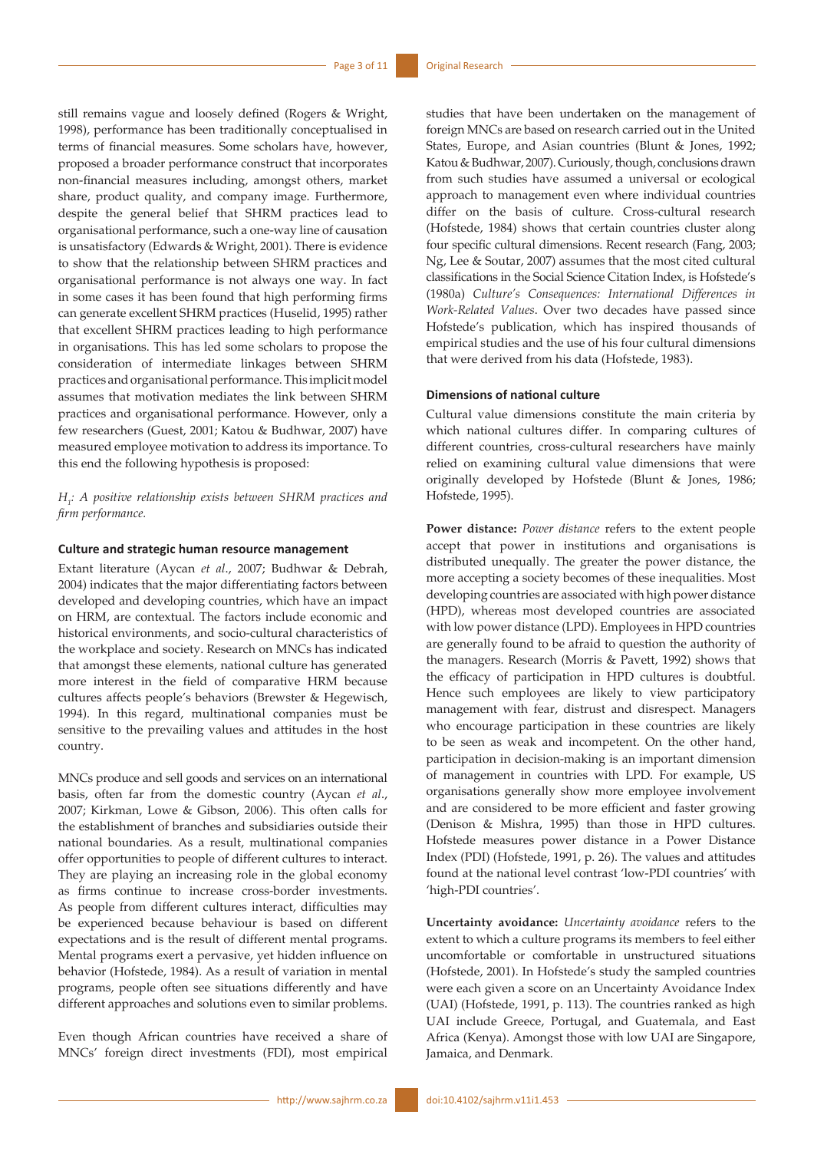still remains vague and loosely defined (Rogers & Wright, 1998), performance has been traditionally conceptualised in terms of financial measures. Some scholars have, however, proposed a broader performance construct that incorporates non-financial measures including, amongst others, market share, product quality, and company image. Furthermore, despite the general belief that SHRM practices lead to organisational performance, such a one-way line of causation is unsatisfactory (Edwards & Wright, 2001). There is evidence to show that the relationship between SHRM practices and organisational performance is not always one way. In fact in some cases it has been found that high performing firms can generate excellent SHRM practices (Huselid, 1995) rather that excellent SHRM practices leading to high performance in organisations. This has led some scholars to propose the consideration of intermediate linkages between SHRM practices and organisational performance. This implicit model assumes that motivation mediates the link between SHRM practices and organisational performance. However, only a few researchers (Guest, 2001; Katou & Budhwar, 2007) have measured employee motivation to address its importance. To this end the following hypothesis is proposed:

*H1 : A positive relationship exists between SHRM practices and firm performance.*

#### **Culture and strategic human resource management**

Extant literature (Aycan *et al*., 2007; Budhwar & Debrah, 2004) indicates that the major differentiating factors between developed and developing countries, which have an impact on HRM, are contextual. The factors include economic and historical environments, and socio-cultural characteristics of the workplace and society. Research on MNCs has indicated that amongst these elements, national culture has generated more interest in the field of comparative HRM because cultures affects people's behaviors (Brewster & Hegewisch, 1994). In this regard, multinational companies must be sensitive to the prevailing values and attitudes in the host country.

MNCs produce and sell goods and services on an international basis, often far from the domestic country (Aycan *et al*., 2007; Kirkman, Lowe & Gibson, 2006). This often calls for the establishment of branches and subsidiaries outside their national boundaries. As a result, multinational companies offer opportunities to people of different cultures to interact. They are playing an increasing role in the global economy as firms continue to increase cross-border investments. As people from different cultures interact, difficulties may be experienced because behaviour is based on different expectations and is the result of different mental programs. Mental programs exert a pervasive, yet hidden influence on behavior (Hofstede, 1984). As a result of variation in mental programs, people often see situations differently and have different approaches and solutions even to similar problems.

Even though African countries have received a share of MNCs' foreign direct investments (FDI), most empirical

studies that have been undertaken on the management of foreign MNCs are based on research carried out in the United States, Europe, and Asian countries (Blunt & Jones, 1992; Katou & Budhwar, 2007). Curiously, though, conclusions drawn from such studies have assumed a universal or ecological approach to management even where individual countries differ on the basis of culture. Cross-cultural research (Hofstede, 1984) shows that certain countries cluster along four specific cultural dimensions. Recent research (Fang, 2003; Ng, Lee & Soutar, 2007) assumes that the most cited cultural classifications in the Social Science Citation Index, is Hofstede's (1980a) *Culture's Consequences: International Differences in Work-Related Values*. Over two decades have passed since Hofstede's publication, which has inspired thousands of empirical studies and the use of his four cultural dimensions that were derived from his data (Hofstede, 1983).

#### **Dimensions of national culture**

Cultural value dimensions constitute the main criteria by which national cultures differ. In comparing cultures of different countries, cross-cultural researchers have mainly relied on examining cultural value dimensions that were originally developed by Hofstede (Blunt & Jones, 1986; Hofstede, 1995).

**Power distance:** *Power distance* refers to the extent people accept that power in institutions and organisations is distributed unequally. The greater the power distance, the more accepting a society becomes of these inequalities. Most developing countries are associated with high power distance (HPD), whereas most developed countries are associated with low power distance (LPD). Employees in HPD countries are generally found to be afraid to question the authority of the managers. Research (Morris & Pavett, 1992) shows that the efficacy of participation in HPD cultures is doubtful. Hence such employees are likely to view participatory management with fear, distrust and disrespect. Managers who encourage participation in these countries are likely to be seen as weak and incompetent. On the other hand, participation in decision-making is an important dimension of management in countries with LPD. For example, US organisations generally show more employee involvement and are considered to be more efficient and faster growing (Denison & Mishra, 1995) than those in HPD cultures. Hofstede measures power distance in a Power Distance Index (PDI) (Hofstede, 1991, p. 26). The values and attitudes found at the national level contrast 'low-PDI countries' with 'high-PDI countries'.

**Uncertainty avoidance:** *Uncertainty avoidance* refers to the extent to which a culture programs its members to feel either uncomfortable or comfortable in unstructured situations (Hofstede, 2001). In Hofstede's study the sampled countries were each given a score on an Uncertainty Avoidance Index (UAI) (Hofstede, 1991, p. 113). The countries ranked as high UAI include Greece, Portugal, and Guatemala, and East Africa (Kenya). Amongst those with low UAI are Singapore, Jamaica, and Denmark.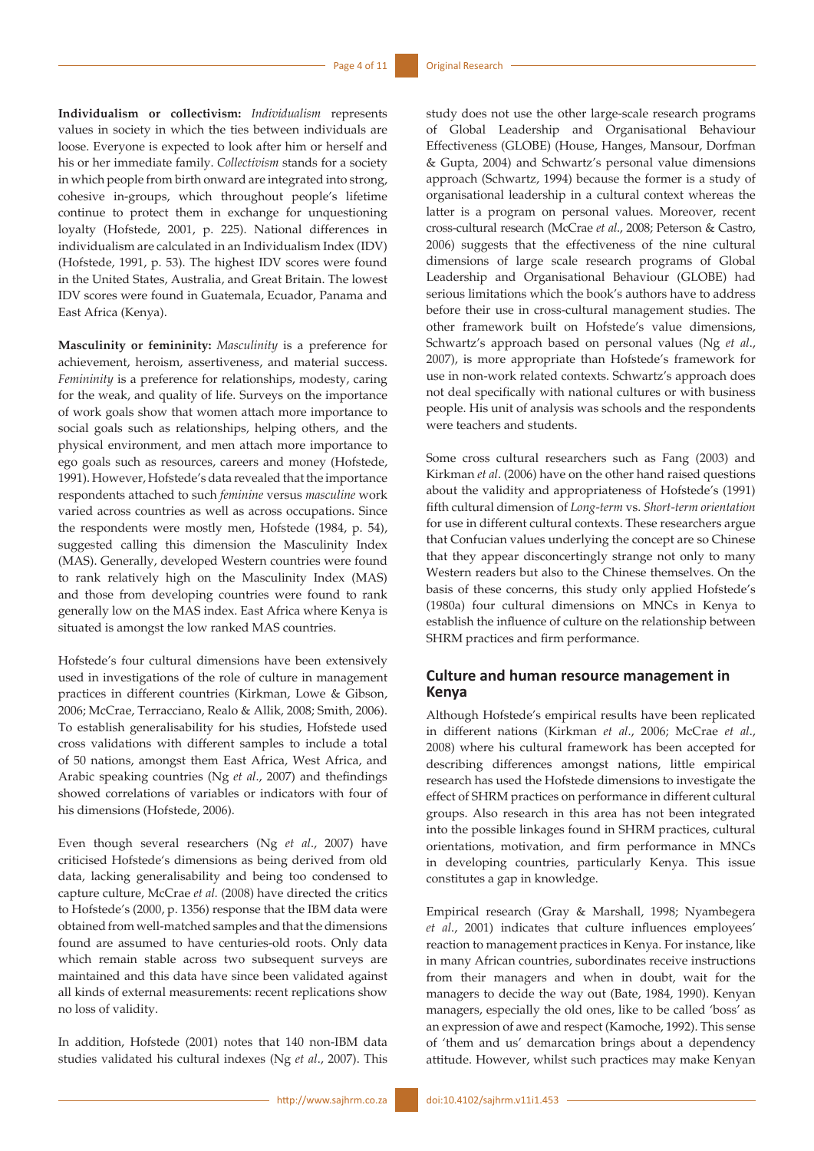**Individualism or collectivism:** *Individualism* represents values in society in which the ties between individuals are loose. Everyone is expected to look after him or herself and his or her immediate family. *Collectivism* stands for a society in which people from birth onward are integrated into strong, cohesive in-groups, which throughout people's lifetime continue to protect them in exchange for unquestioning loyalty (Hofstede, 2001, p. 225). National differences in individualism are calculated in an Individualism Index (IDV) (Hofstede, 1991, p. 53). The highest IDV scores were found in the United States, Australia, and Great Britain. The lowest IDV scores were found in Guatemala, Ecuador, Panama and East Africa (Kenya).

**Masculinity or femininity:** *Masculinity* is a preference for achievement, heroism, assertiveness, and material success. *Femininity* is a preference for relationships, modesty, caring for the weak, and quality of life. Surveys on the importance of work goals show that women attach more importance to social goals such as relationships, helping others, and the physical environment, and men attach more importance to ego goals such as resources, careers and money (Hofstede, 1991). However, Hofstede's data revealed that the importance respondents attached to such *feminine* versus *masculine* work varied across countries as well as across occupations. Since the respondents were mostly men, Hofstede (1984, p. 54), suggested calling this dimension the Masculinity Index (MAS). Generally, developed Western countries were found to rank relatively high on the Masculinity Index (MAS) and those from developing countries were found to rank generally low on the MAS index. East Africa where Kenya is situated is amongst the low ranked MAS countries.

Hofstede's four cultural dimensions have been extensively used in investigations of the role of culture in management practices in different countries (Kirkman, Lowe & Gibson, 2006; McCrae, Terracciano, Realo & Allik, 2008; Smith, 2006). To establish generalisability for his studies, Hofstede used cross validations with different samples to include a total of 50 nations, amongst them East Africa, West Africa, and Arabic speaking countries (Ng *et al*., 2007) and thefindings showed correlations of variables or indicators with four of his dimensions (Hofstede, 2006).

Even though several researchers (Ng *et al*., 2007) have criticised Hofstede's dimensions as being derived from old data, lacking generalisability and being too condensed to capture culture, McCrae *et al.* (2008) have directed the critics to Hofstede's (2000, p. 1356) response that the IBM data were obtained from well-matched samples and that the dimensions found are assumed to have centuries-old roots. Only data which remain stable across two subsequent surveys are maintained and this data have since been validated against all kinds of external measurements: recent replications show no loss of validity.

In addition, Hofstede (2001) notes that 140 non-IBM data studies validated his cultural indexes (Ng *et al*., 2007). This study does not use the other large-scale research programs of Global Leadership and Organisational Behaviour Effectiveness (GLOBE) (House, Hanges, Mansour, Dorfman & Gupta, 2004) and Schwartz's personal value dimensions approach (Schwartz, 1994) because the former is a study of organisational leadership in a cultural context whereas the latter is a program on personal values. Moreover, recent cross-cultural research (McCrae *et al*., 2008; Peterson & Castro, 2006) suggests that the effectiveness of the nine cultural dimensions of large scale research programs of Global Leadership and Organisational Behaviour (GLOBE) had serious limitations which the book's authors have to address before their use in cross-cultural management studies. The other framework built on Hofstede's value dimensions, Schwartz's approach based on personal values (Ng *et al*., 2007), is more appropriate than Hofstede's framework for use in non-work related contexts. Schwartz's approach does not deal specifically with national cultures or with business people. His unit of analysis was schools and the respondents were teachers and students.

Some cross cultural researchers such as Fang (2003) and Kirkman *et al*. (2006) have on the other hand raised questions about the validity and appropriateness of Hofstede's (1991) fifth cultural dimension of *Long-term* vs. *Short-term orientation* for use in different cultural contexts. These researchers argue that Confucian values underlying the concept are so Chinese that they appear disconcertingly strange not only to many Western readers but also to the Chinese themselves. On the basis of these concerns, this study only applied Hofstede's (1980a) four cultural dimensions on MNCs in Kenya to establish the influence of culture on the relationship between SHRM practices and firm performance.

### **Culture and human resource management in Kenya**

Although Hofstede's empirical results have been replicated in different nations (Kirkman *et al*., 2006; McCrae *et al*., 2008) where his cultural framework has been accepted for describing differences amongst nations, little empirical research has used the Hofstede dimensions to investigate the effect of SHRM practices on performance in different cultural groups. Also research in this area has not been integrated into the possible linkages found in SHRM practices, cultural orientations, motivation, and firm performance in MNCs in developing countries, particularly Kenya. This issue constitutes a gap in knowledge.

Empirical research (Gray & Marshall, 1998; Nyambegera *et al*., 2001) indicates that culture influences employees' reaction to management practices in Kenya. For instance, like in many African countries, subordinates receive instructions from their managers and when in doubt, wait for the managers to decide the way out (Bate, 1984, 1990). Kenyan managers, especially the old ones, like to be called 'boss' as an expression of awe and respect (Kamoche, 1992). This sense of 'them and us' demarcation brings about a dependency attitude. However, whilst such practices may make Kenyan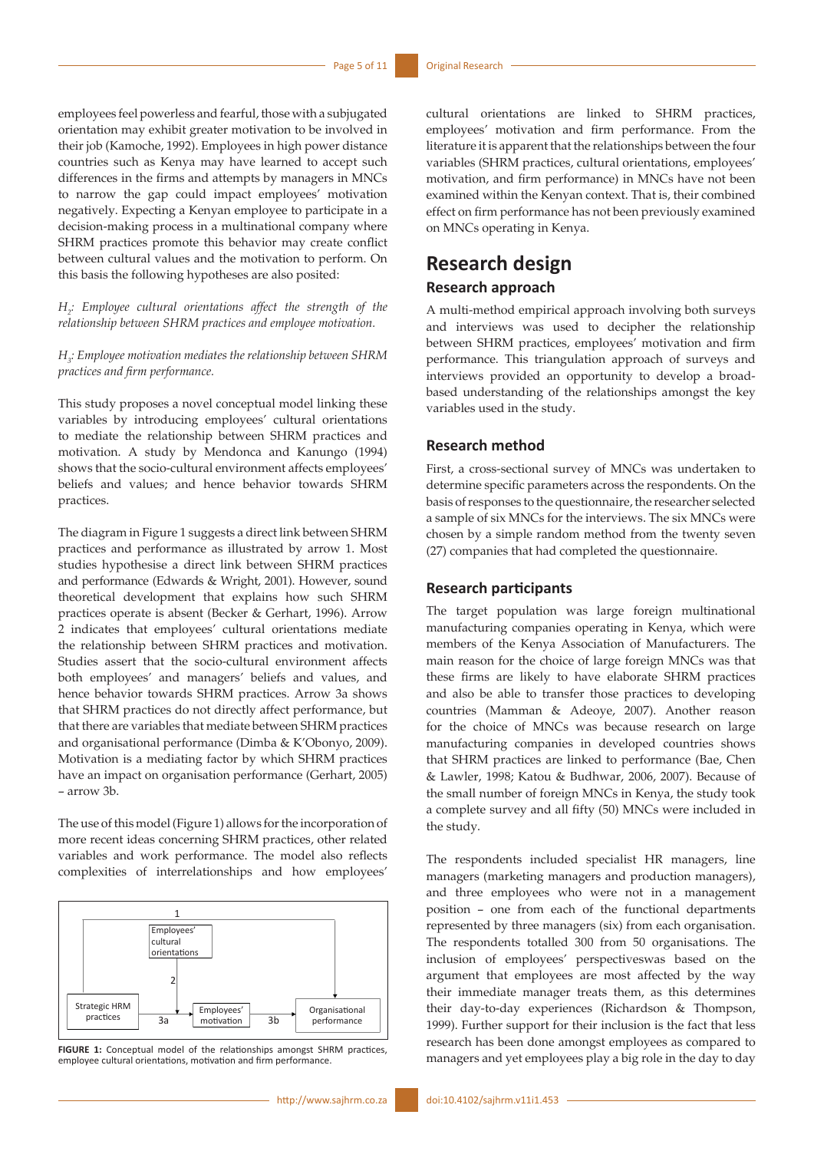employees feel powerless and fearful, those with a subjugated orientation may exhibit greater motivation to be involved in their job (Kamoche, 1992). Employees in high power distance countries such as Kenya may have learned to accept such differences in the firms and attempts by managers in MNCs to narrow the gap could impact employees' motivation negatively. Expecting a Kenyan employee to participate in a decision-making process in a multinational company where SHRM practices promote this behavior may create conflict between cultural values and the motivation to perform. On this basis the following hypotheses are also posited:

*H2 : Employee cultural orientations affect the strength of the relationship between SHRM practices and employee motivation.*

*H3 : Employee motivation mediates the relationship between SHRM practices and firm performance.*

This study proposes a novel conceptual model linking these variables by introducing employees' cultural orientations to mediate the relationship between SHRM practices and motivation. A study by Mendonca and Kanungo (1994) shows that the socio-cultural environment affects employees' beliefs and values; and hence behavior towards SHRM practices.

The diagram in Figure 1 suggests a direct link between SHRM practices and performance as illustrated by arrow 1. Most studies hypothesise a direct link between SHRM practices and performance (Edwards & Wright, 2001). However, sound theoretical development that explains how such SHRM practices operate is absent (Becker & Gerhart, 1996). Arrow 2 indicates that employees' cultural orientations mediate the relationship between SHRM practices and motivation. Studies assert that the socio-cultural environment affects both employees' and managers' beliefs and values, and hence behavior towards SHRM practices. Arrow 3a shows that SHRM practices do not directly affect performance, but that there are variables that mediate between SHRM practices and organisational performance (Dimba & K'Obonyo, 2009). Motivation is a mediating factor by which SHRM practices have an impact on organisation performance (Gerhart, 2005) – arrow 3b.

The use of this model (Figure 1) allows for the incorporation of more recent ideas concerning SHRM practices, other related variables and work performance. The model also reflects complexities of interrelationships and how employees'



**FIGURE 1:** Conceptual model of the relationships amongst SHRM practices, employee cultural orientations, motivation and firm performance.

cultural orientations are linked to SHRM practices, employees' motivation and firm performance. From the literature it is apparent that the relationships between the four variables (SHRM practices, cultural orientations, employees' motivation, and firm performance) in MNCs have not been examined within the Kenyan context. That is, their combined effect on firm performance has not been previously examined on MNCs operating in Kenya.

# **Research design Research approach**

A multi-method empirical approach involving both surveys and interviews was used to decipher the relationship between SHRM practices, employees' motivation and firm performance. This triangulation approach of surveys and interviews provided an opportunity to develop a broadbased understanding of the relationships amongst the key variables used in the study.

### **Research method**

First, a cross-sectional survey of MNCs was undertaken to determine specific parameters across the respondents. On the basis of responses to the questionnaire, the researcher selected a sample of six MNCs for the interviews. The six MNCs were chosen by a simple random method from the twenty seven (27) companies that had completed the questionnaire.

### **Research participants**

The target population was large foreign multinational manufacturing companies operating in Kenya, which were members of the Kenya Association of Manufacturers. The main reason for the choice of large foreign MNCs was that these firms are likely to have elaborate SHRM practices and also be able to transfer those practices to developing countries (Mamman & Adeoye, 2007). Another reason for the choice of MNCs was because research on large manufacturing companies in developed countries shows that SHRM practices are linked to performance (Bae, Chen & Lawler, 1998; Katou & Budhwar, 2006, 2007). Because of the small number of foreign MNCs in Kenya, the study took a complete survey and all fifty (50) MNCs were included in the study.

The respondents included specialist HR managers, line managers (marketing managers and production managers), and three employees who were not in a management position – one from each of the functional departments represented by three managers (six) from each organisation. The respondents totalled 300 from 50 organisations. The inclusion of employees' perspectiveswas based on the argument that employees are most affected by the way their immediate manager treats them, as this determines their day-to-day experiences (Richardson & Thompson, 1999). Further support for their inclusion is the fact that less research has been done amongst employees as compared to managers and yet employees play a big role in the day to day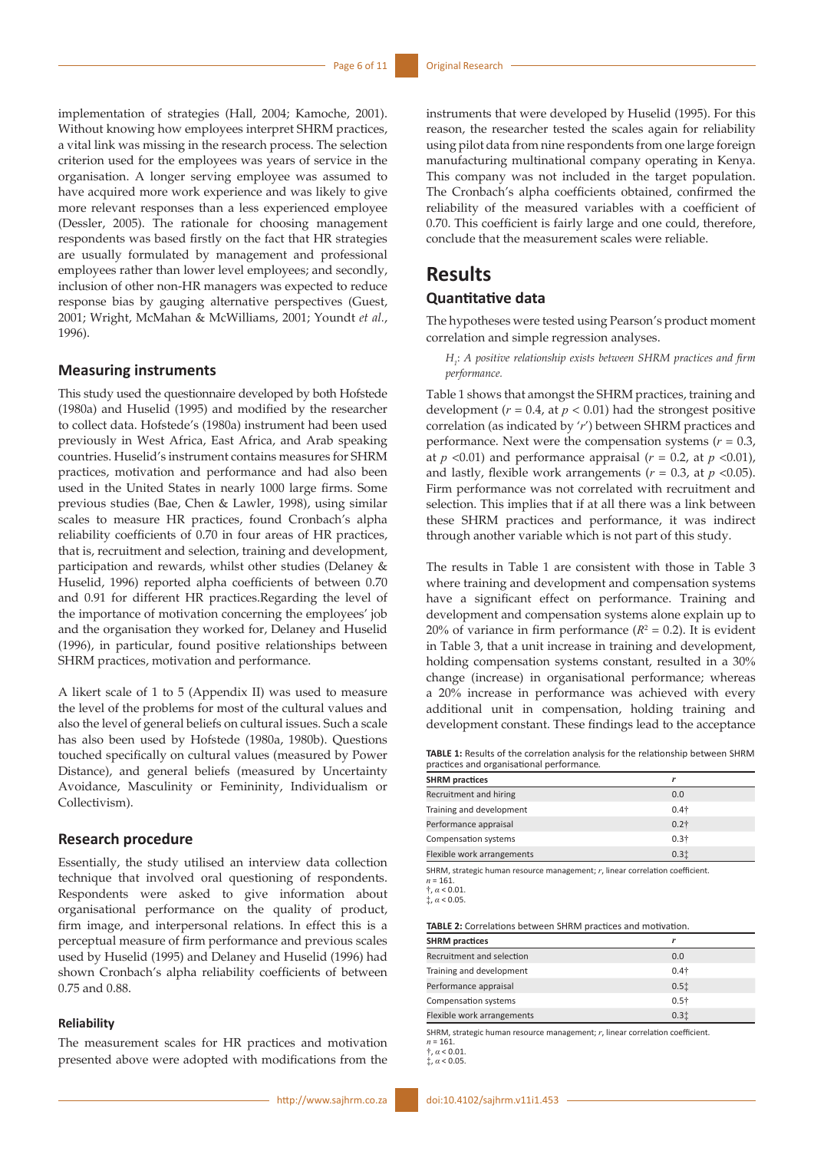implementation of strategies (Hall, 2004; Kamoche, 2001). Without knowing how employees interpret SHRM practices, a vital link was missing in the research process. The selection criterion used for the employees was years of service in the organisation. A longer serving employee was assumed to have acquired more work experience and was likely to give more relevant responses than a less experienced employee (Dessler, 2005). The rationale for choosing management respondents was based firstly on the fact that HR strategies are usually formulated by management and professional employees rather than lower level employees; and secondly, inclusion of other non-HR managers was expected to reduce response bias by gauging alternative perspectives (Guest, 2001; Wright, McMahan & McWilliams, 2001; Youndt *et al.*, 1996).

#### **Measuring instruments**

This study used the questionnaire developed by both Hofstede (1980a) and Huselid (1995) and modified by the researcher to collect data. Hofstede's (1980a) instrument had been used previously in West Africa, East Africa, and Arab speaking countries. Huselid's instrument contains measures for SHRM practices, motivation and performance and had also been used in the United States in nearly 1000 large firms. Some previous studies (Bae, Chen & Lawler, 1998), using similar scales to measure HR practices, found Cronbach's alpha reliability coefficients of 0.70 in four areas of HR practices, that is, recruitment and selection, training and development, participation and rewards, whilst other studies (Delaney & Huselid, 1996) reported alpha coefficients of between 0.70 and 0.91 for different HR practices.Regarding the level of the importance of motivation concerning the employees' job and the organisation they worked for, Delaney and Huselid (1996), in particular, found positive relationships between SHRM practices, motivation and performance.

A likert scale of 1 to 5 (Appendix II) was used to measure the level of the problems for most of the cultural values and also the level of general beliefs on cultural issues. Such a scale has also been used by Hofstede (1980a, 1980b). Questions touched specifically on cultural values (measured by Power Distance), and general beliefs (measured by Uncertainty Avoidance, Masculinity or Femininity, Individualism or Collectivism).

#### **Research procedure**

Essentially, the study utilised an interview data collection technique that involved oral questioning of respondents. Respondents were asked to give information about organisational performance on the quality of product, firm image, and interpersonal relations. In effect this is a perceptual measure of firm performance and previous scales used by Huselid (1995) and Delaney and Huselid (1996) had shown Cronbach's alpha reliability coefficients of between 0.75 and 0.88.

#### **Reliability**

The measurement scales for HR practices and motivation presented above were adopted with modifications from the

instruments that were developed by Huselid (1995). For this reason, the researcher tested the scales again for reliability using pilot data from nine respondents from one large foreign manufacturing multinational company operating in Kenya. This company was not included in the target population. The Cronbach's alpha coefficients obtained, confirmed the reliability of the measured variables with a coefficient of 0.70. This coefficient is fairly large and one could, therefore, conclude that the measurement scales were reliable.

# **Results**

### **Quantitative data**

The hypotheses were tested using Pearson's product moment correlation and simple regression analyses.

*H1* : *A positive relationship exists between SHRM practices and firm performance.*

Table 1 shows that amongst the SHRM practices, training and development  $(r = 0.4, at p < 0.01)$  had the strongest positive correlation (as indicated by '*r*') between SHRM practices and performance. Next were the compensation systems (*r* = 0.3, at  $p \leq 0.01$ ) and performance appraisal ( $r = 0.2$ , at  $p \leq 0.01$ ), and lastly, flexible work arrangements  $(r = 0.3, \text{ at } p \le 0.05)$ . Firm performance was not correlated with recruitment and selection. This implies that if at all there was a link between these SHRM practices and performance, it was indirect through another variable which is not part of this study.

The results in Table 1 are consistent with those in Table 3 where training and development and compensation systems have a significant effect on performance. Training and development and compensation systems alone explain up to 20% of variance in firm performance  $(R^2 = 0.2)$ . It is evident in Table 3, that a unit increase in training and development, holding compensation systems constant, resulted in a 30% change (increase) in organisational performance; whereas a 20% increase in performance was achieved with every additional unit in compensation, holding training and development constant. These findings lead to the acceptance

**TABLE 1:** Results of the correlation analysis for the relationship between SHRM practices and organisational performance*.*

| <b>SHRM</b> practices      | r                |
|----------------------------|------------------|
| Recruitment and hiring     | 0.0              |
| Training and development   | $0.4+$           |
| Performance appraisal      | 0.2 <sup>†</sup> |
| Compensation systems       | $0.3+$           |
| Flexible work arrangements | 0.31             |

SHRM, strategic human resource management; *r*, linear correlation coefficient. *n* = 161. †, *α* < 0.01.

‡, *α* < 0.05.

**TABLE 2:** Correlations between SHRM practices and motivation.

| <b>SHRM practices</b>      |                  |  |
|----------------------------|------------------|--|
| Recruitment and selection  | 0.0              |  |
| Training and development   | 0.4 <sup>†</sup> |  |
| Performance appraisal      | 0.51             |  |
| Compensation systems       | $0.5+$           |  |
| Flexible work arrangements | 0.31             |  |

SHRM, strategic human resource management; *r*, linear correlation coefficient.  $n = 161$ . †, *α* < 0.01.

‡, *α* < 0.05.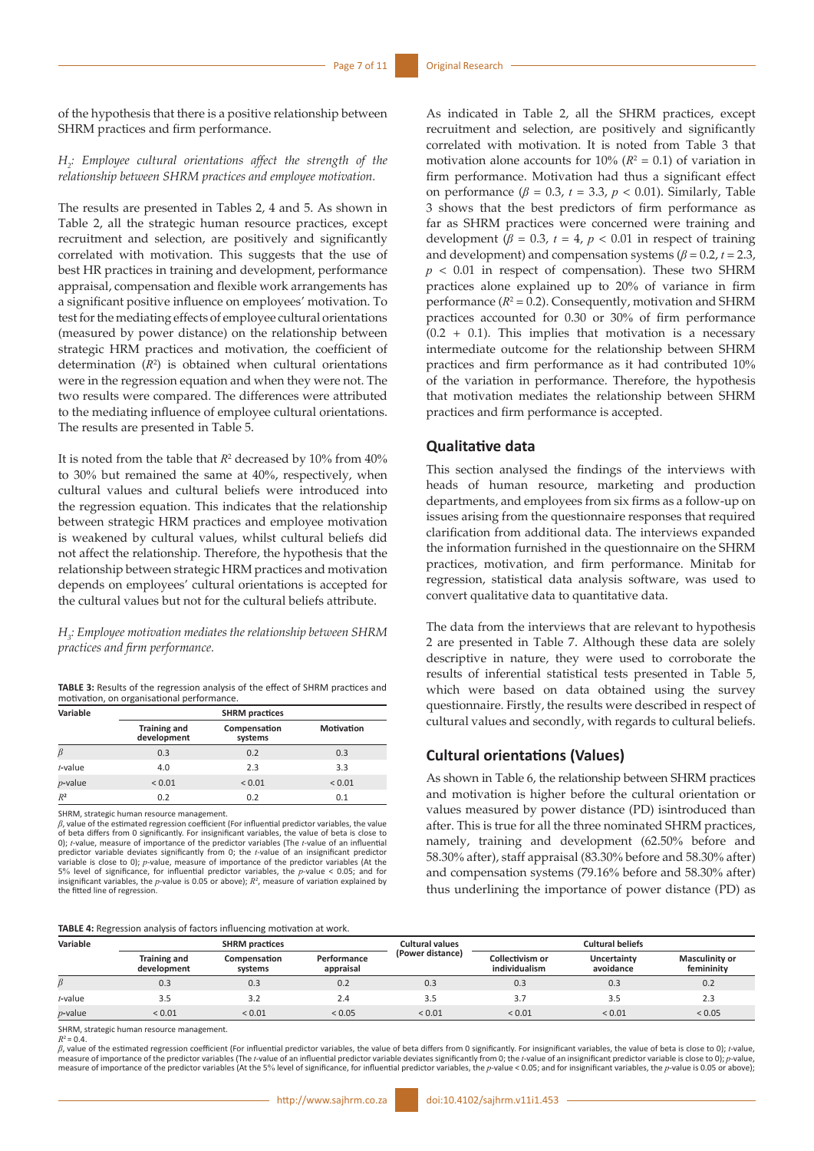of the hypothesis that there is a positive relationship between SHRM practices and firm performance.

*H2 : Employee cultural orientations affect the strength of the relationship between SHRM practices and employee motivation.*

The results are presented in Tables 2, 4 and 5. As shown in Table 2, all the strategic human resource practices, except recruitment and selection, are positively and significantly correlated with motivation. This suggests that the use of best HR practices in training and development, performance appraisal, compensation and flexible work arrangements has a significant positive influence on employees' motivation. To test for the mediating effects of employee cultural orientations (measured by power distance) on the relationship between strategic HRM practices and motivation, the coefficient of determination  $(R^2)$  is obtained when cultural orientations were in the regression equation and when they were not. The two results were compared. The differences were attributed to the mediating influence of employee cultural orientations. The results are presented in Table 5.

It is noted from the table that  $R^2$  decreased by  $10\%$  from  $40\%$ to 30% but remained the same at 40%, respectively, when cultural values and cultural beliefs were introduced into the regression equation. This indicates that the relationship between strategic HRM practices and employee motivation is weakened by cultural values, whilst cultural beliefs did not affect the relationship. Therefore, the hypothesis that the relationship between strategic HRM practices and motivation depends on employees' cultural orientations is accepted for the cultural values but not for the cultural beliefs attribute.

*H3 : Employee motivation mediates the relationship between SHRM practices and firm performance.*

**TABLE 3:** Results of the regression analysis of the effect of SHRM practices and motivation, on organisational performance.

| Variable   | <b>SHRM</b> practices              |                         |                   |  |
|------------|------------------------------------|-------------------------|-------------------|--|
|            | <b>Training and</b><br>development | Compensation<br>systems | <b>Motivation</b> |  |
| $\beta$    | 0.3                                | 0.2                     | 0.3               |  |
| $t$ -value | 4.0                                | 2.3                     | 3.3               |  |
| $p$ -value | ${}_{0.01}$                        | ${}< 0.01$              | ${}< 0.01$        |  |
| $R^2$      | 0.2                                | 0.2                     | 0.1               |  |

SHRM, strategic human resource management.

*β*, value of the estimated regression coefficient (For influential predictor variables, the value of beta differs from 0 significantly. For insignificant variables, the value of beta is close to 0); *t*-value, measure of importance of the predictor variables (The *t*-value of an influential predictor variable deviates significantly from 0; the *t*-value of an insignificant predictor variable is close to 0); *p*-value, measure of importance of the predictor variables (At the 5% level of significance, for influential predictor variables, the *p*-value < 0.05; and for insignificant variables, the *p*-value is 0.05 or above); *R*<sup>2</sup> , measure of variation explained by the fitted line of regression.

|  |  |  |  | TABLE 4: Regression analysis of factors influencing motivation at work. |  |  |
|--|--|--|--|-------------------------------------------------------------------------|--|--|
|--|--|--|--|-------------------------------------------------------------------------|--|--|

As indicated in Table 2, all the SHRM practices, except recruitment and selection, are positively and significantly correlated with motivation. It is noted from Table 3 that motivation alone accounts for  $10\%$  ( $R^2 = 0.1$ ) of variation in firm performance. Motivation had thus a significant effect on performance ( $\beta = 0.3$ ,  $t = 3.3$ ,  $p < 0.01$ ). Similarly, Table 3 shows that the best predictors of firm performance as far as SHRM practices were concerned were training and development ( $\beta$  = 0.3,  $t$  = 4,  $p$  < 0.01 in respect of training and development) and compensation systems ( $\beta$  = 0.2, *t* = 2.3,  $p < 0.01$  in respect of compensation). These two SHRM practices alone explained up to 20% of variance in firm performance  $(R^2 = 0.2)$ . Consequently, motivation and SHRM practices accounted for 0.30 or 30% of firm performance  $(0.2 + 0.1)$ . This implies that motivation is a necessary intermediate outcome for the relationship between SHRM practices and firm performance as it had contributed 10% of the variation in performance. Therefore, the hypothesis that motivation mediates the relationship between SHRM practices and firm performance is accepted.

### **Qualitative data**

This section analysed the findings of the interviews with heads of human resource, marketing and production departments, and employees from six firms as a follow-up on issues arising from the questionnaire responses that required clarification from additional data. The interviews expanded the information furnished in the questionnaire on the SHRM practices, motivation, and firm performance. Minitab for regression, statistical data analysis software, was used to convert qualitative data to quantitative data.

The data from the interviews that are relevant to hypothesis 2 are presented in Table 7. Although these data are solely descriptive in nature, they were used to corroborate the results of inferential statistical tests presented in Table 5, which were based on data obtained using the survey questionnaire. Firstly, the results were described in respect of cultural values and secondly, with regards to cultural beliefs.

### **Cultural orientations (Values)**

As shown in Table 6, the relationship between SHRM practices and motivation is higher before the cultural orientation or values measured by power distance (PD) isintroduced than after. This is true for all the three nominated SHRM practices, namely, training and development (62.50% before and 58.30% after), staff appraisal (83.30% before and 58.30% after) and compensation systems (79.16% before and 58.30% after) thus underlining the importance of power distance (PD) as

| Variable | <b>SHRM practices</b>              |                         |                          | Cultural values  | Cultural beliefs                 |                          |                                     |
|----------|------------------------------------|-------------------------|--------------------------|------------------|----------------------------------|--------------------------|-------------------------------------|
|          | <b>Training and</b><br>development | Compensation<br>systems | Performance<br>appraisal | (Power distance) | Collectivism or<br>individualism | Uncertainty<br>avoidance | <b>Masculinity or</b><br>femininity |
|          | 0.3                                | 0.3                     | 0.2                      | 0.3              | 0.3                              | 0.3                      | 0.2                                 |
| t-value  | 3.5                                | 3.2                     | 2.4                      | 3.5              | 3.7                              | 3.5                      | 2.3                                 |
| p-value  | ${}_{0.01}$                        | ${}< 0.01$              | < 0.05                   | ${}< 0.01$       | ${}_{0.01}$                      | ${}_{0.01}$              | < 0.05                              |

SHRM, strategic human resource management.

R<sup>2</sup> = 0.4.<br>β, value of the estimated regression coefficient (For influential predictor variables, the value of beta differs from 0 significantly. For insignificant variables, the value of beta is close to 0); *t-*value, measure of importance of the predictor variables (The t-value of an influential predictor variable deviates significantly from 0; the t-value of an insignificant predictor variable is close to 0); p-value, measure of importance of the predictor variables (At the 5% level of significance, for influential predictor variables, the *p*-value < 0.05; and for insignificant variables, the *p*-value is 0.05 or above);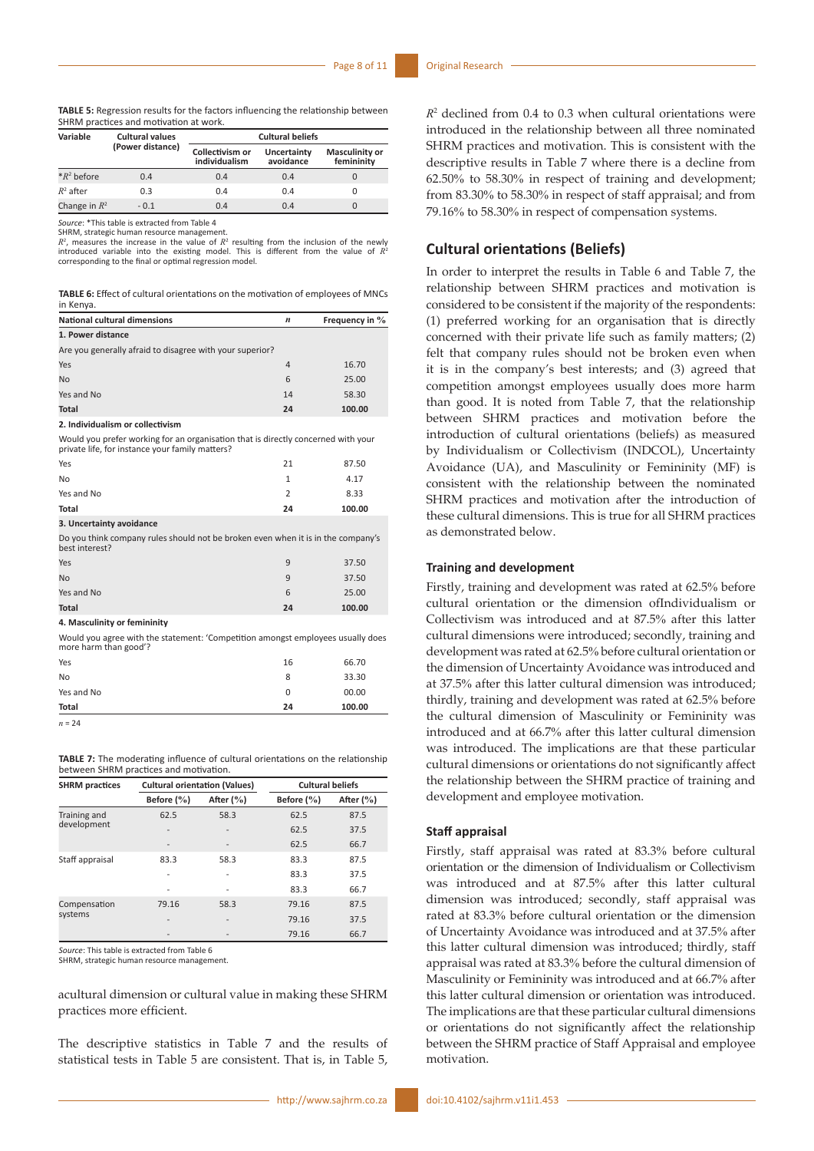**TABLE 5:** Regression results for the factors influencing the relationship between SHRM practices and motivation at work.

| Variable        | <b>Cultural values</b> | <b>Cultural beliefs</b>          |                          |                                     |  |
|-----------------|------------------------|----------------------------------|--------------------------|-------------------------------------|--|
|                 | (Power distance)       | Collectivism or<br>individualism | Uncertainty<br>avoidance | <b>Masculinity or</b><br>femininity |  |
| $*R^2$ before   | 0.4                    | 0.4                              | 0.4                      | $\Omega$                            |  |
| $R^2$ after     | 0.3                    | 0.4                              | 0.4                      | 0                                   |  |
| Change in $R^2$ | $-0.1$                 | 0.4                              | 0.4                      | $\Omega$                            |  |

*Source*: \*This table is extracted from Table 4

SHRM, strategic human resource management.<br> $R^2$ , measures the increase in the value of  $R^2$  resulting from the inclusion of the newly introduced variable into the existing model. This is different from the value of *R*<sup>2</sup> corresponding to the final or optimal regression model.

**TABLE 6:** Effect of cultural orientations on the motivation of employees of MNCs in Kenya.

| National cultural dimensions                                                                                                         | n              | Frequency in % |
|--------------------------------------------------------------------------------------------------------------------------------------|----------------|----------------|
| 1. Power distance                                                                                                                    |                |                |
| Are you generally afraid to disagree with your superior?                                                                             |                |                |
| Yes                                                                                                                                  | 4              | 16.70          |
| Nο                                                                                                                                   | 6              | 25.00          |
| Yes and No                                                                                                                           | 14             | 58.30          |
| Total                                                                                                                                | 24             | 100.00         |
| 2. Individualism or collectivism                                                                                                     |                |                |
| Would you prefer working for an organisation that is directly concerned with your<br>private life, for instance your family matters? |                |                |
| Yes                                                                                                                                  | 21             | 87.50          |
| No                                                                                                                                   | 1              | 4.17           |
| Yes and No                                                                                                                           | $\overline{2}$ | 8.33           |
| Total                                                                                                                                | 24             | 100.00         |
| 3. Uncertainty avoidance                                                                                                             |                |                |
| Do you think company rules should not be broken even when it is in the company's<br>best interest?                                   |                |                |
| Yes                                                                                                                                  | 9              | 37.50          |
| No                                                                                                                                   | 9              | 37.50          |
| Yes and No                                                                                                                           | 6              | 25.00          |
| Total                                                                                                                                | 24             | 100.00         |
| 4. Masculinity or femininity                                                                                                         |                |                |
| Would you agree with the statement: 'Competition amongst employees usually does<br>more harm than good'?                             |                |                |
| Yes                                                                                                                                  | 16             | 66.70          |
| No                                                                                                                                   | 8              | 33.30          |
| Yes and No                                                                                                                           | 0              | 00.00          |
| Total                                                                                                                                | 24             | 100.00         |

*n* = 24

| <b>TABLE 7:</b> The moderating influence of cultural orientations on the relationship |
|---------------------------------------------------------------------------------------|
| between SHRM practices and motivation.                                                |

| <b>SHRM</b> practices   | <b>Cultural orientation (Values)</b> |                |                | <b>Cultural beliefs</b> |  |  |
|-------------------------|--------------------------------------|----------------|----------------|-------------------------|--|--|
|                         | Before $(\% )$                       | After (%)      | Before $(\% )$ | After $(\% )$           |  |  |
| Training and            | 62.5                                 | 58.3           | 62.5           | 87.5                    |  |  |
| development             | $\overline{\phantom{a}}$             | $\overline{a}$ | 62.5           | 37.5                    |  |  |
|                         | $\overline{\phantom{0}}$             | $\overline{a}$ | 62.5           | 66.7                    |  |  |
| Staff appraisal         | 83.3                                 | 58.3           | 83.3           | 87.5                    |  |  |
|                         |                                      |                | 83.3           | 37.5                    |  |  |
|                         |                                      | $\overline{a}$ | 83.3           | 66.7                    |  |  |
| Compensation<br>systems | 79.16                                | 58.3           | 79.16          | 87.5                    |  |  |
|                         | $\overline{\phantom{0}}$             | $\overline{a}$ | 79.16          | 37.5                    |  |  |
|                         |                                      |                | 79.16          | 66.7                    |  |  |

*Source*: This table is extracted from Table 6

SHRM, strategic human resource management.

acultural dimension or cultural value in making these SHRM practices more efficient.

The descriptive statistics in Table 7 and the results of statistical tests in Table 5 are consistent. That is, in Table 5,

 $R<sup>2</sup>$  declined from 0.4 to 0.3 when cultural orientations were introduced in the relationship between all three nominated SHRM practices and motivation. This is consistent with the descriptive results in Table 7 where there is a decline from 62.50% to 58.30% in respect of training and development; from 83.30% to 58.30% in respect of staff appraisal; and from 79.16% to 58.30% in respect of compensation systems.

### **Cultural orientations (Beliefs)**

In order to interpret the results in Table 6 and Table 7, the relationship between SHRM practices and motivation is considered to be consistent if the majority of the respondents: (1) preferred working for an organisation that is directly concerned with their private life such as family matters; (2) felt that company rules should not be broken even when it is in the company's best interests; and (3) agreed that competition amongst employees usually does more harm than good. It is noted from Table 7, that the relationship between SHRM practices and motivation before the introduction of cultural orientations (beliefs) as measured by Individualism or Collectivism (INDCOL), Uncertainty Avoidance (UA), and Masculinity or Femininity (MF) is consistent with the relationship between the nominated SHRM practices and motivation after the introduction of these cultural dimensions. This is true for all SHRM practices as demonstrated below.

#### **Training and development**

Firstly, training and development was rated at 62.5% before cultural orientation or the dimension ofIndividualism or Collectivism was introduced and at 87.5% after this latter cultural dimensions were introduced; secondly, training and development was rated at 62.5% before cultural orientation or the dimension of Uncertainty Avoidance was introduced and at 37.5% after this latter cultural dimension was introduced; thirdly, training and development was rated at 62.5% before the cultural dimension of Masculinity or Femininity was introduced and at 66.7% after this latter cultural dimension was introduced. The implications are that these particular cultural dimensions or orientations do not significantly affect the relationship between the SHRM practice of training and development and employee motivation.

#### **Staff appraisal**

Firstly, staff appraisal was rated at 83.3% before cultural orientation or the dimension of Individualism or Collectivism was introduced and at 87.5% after this latter cultural dimension was introduced; secondly, staff appraisal was rated at 83.3% before cultural orientation or the dimension of Uncertainty Avoidance was introduced and at 37.5% after this latter cultural dimension was introduced; thirdly, staff appraisal was rated at 83.3% before the cultural dimension of Masculinity or Femininity was introduced and at 66.7% after this latter cultural dimension or orientation was introduced. The implications are that these particular cultural dimensions or orientations do not significantly affect the relationship between the SHRM practice of Staff Appraisal and employee motivation.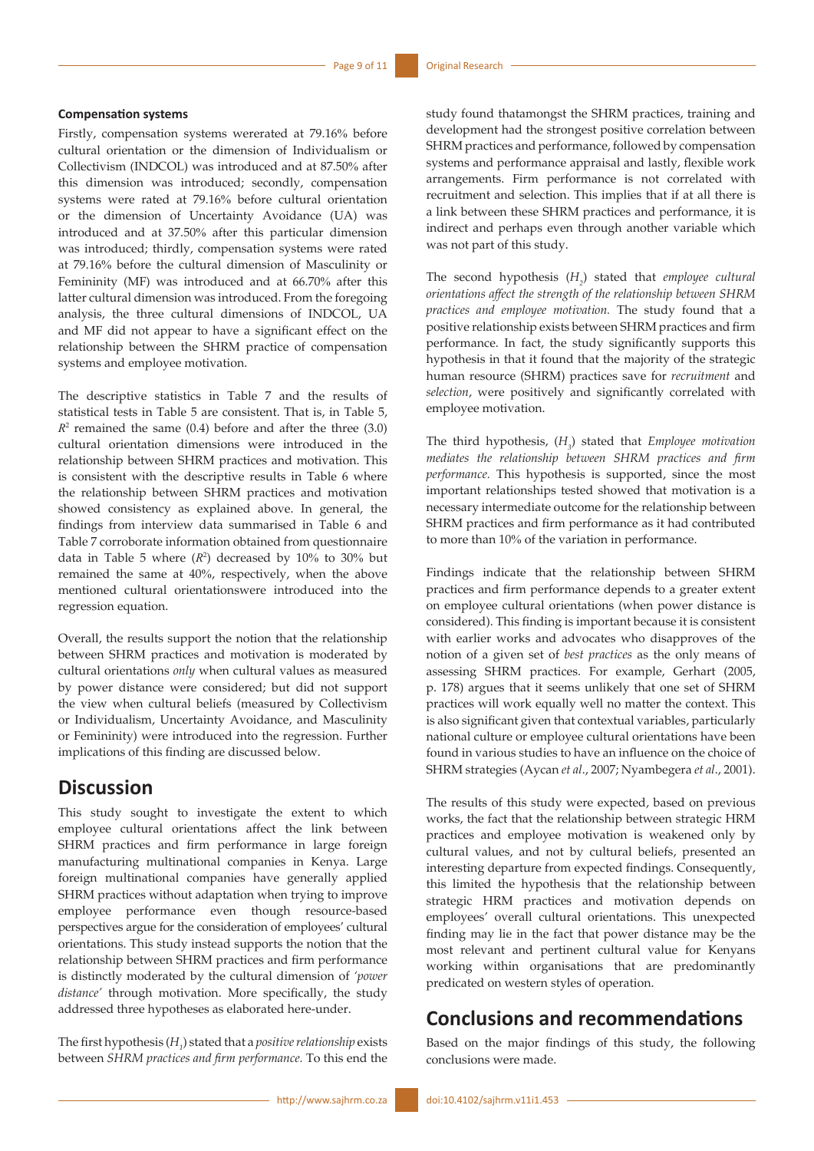#### **Compensation systems**

Firstly, compensation systems wererated at 79.16% before cultural orientation or the dimension of Individualism or Collectivism (INDCOL) was introduced and at 87.50% after this dimension was introduced; secondly, compensation systems were rated at 79.16% before cultural orientation or the dimension of Uncertainty Avoidance (UA) was introduced and at 37.50% after this particular dimension was introduced; thirdly, compensation systems were rated at 79.16% before the cultural dimension of Masculinity or Femininity (MF) was introduced and at 66.70% after this latter cultural dimension was introduced. From the foregoing analysis, the three cultural dimensions of INDCOL, UA and MF did not appear to have a significant effect on the relationship between the SHRM practice of compensation systems and employee motivation.

The descriptive statistics in Table 7 and the results of statistical tests in Table 5 are consistent. That is, in Table 5,  $R<sup>2</sup>$  remained the same (0.4) before and after the three (3.0) cultural orientation dimensions were introduced in the relationship between SHRM practices and motivation. This is consistent with the descriptive results in Table 6 where the relationship between SHRM practices and motivation showed consistency as explained above. In general, the findings from interview data summarised in Table 6 and Table 7 corroborate information obtained from questionnaire data in Table 5 where  $(R^2)$  decreased by 10% to 30% but remained the same at 40%, respectively, when the above mentioned cultural orientationswere introduced into the regression equation.

Overall, the results support the notion that the relationship between SHRM practices and motivation is moderated by cultural orientations *only* when cultural values as measured by power distance were considered; but did not support the view when cultural beliefs (measured by Collectivism or Individualism, Uncertainty Avoidance, and Masculinity or Femininity) were introduced into the regression. Further implications of this finding are discussed below.

# **Discussion**

This study sought to investigate the extent to which employee cultural orientations affect the link between SHRM practices and firm performance in large foreign manufacturing multinational companies in Kenya. Large foreign multinational companies have generally applied SHRM practices without adaptation when trying to improve employee performance even though resource-based perspectives argue for the consideration of employees' cultural orientations. This study instead supports the notion that the relationship between SHRM practices and firm performance is distinctly moderated by the cultural dimension of *'power distance'* through motivation. More specifically, the study addressed three hypotheses as elaborated here-under.

The first hypothesis (*H1* ) stated that a *positive relationship* exists between *SHRM practices and firm performance.* To this end the study found thatamongst the SHRM practices, training and development had the strongest positive correlation between SHRM practices and performance, followed by compensation systems and performance appraisal and lastly, flexible work arrangements. Firm performance is not correlated with recruitment and selection. This implies that if at all there is a link between these SHRM practices and performance, it is indirect and perhaps even through another variable which was not part of this study.

The second hypothesis  $(H_2)$  stated that *employee cultural orientations affect the strength of the relationship between SHRM practices and employee motivation.* The study found that a positive relationship exists between SHRM practices and firm performance. In fact, the study significantly supports this hypothesis in that it found that the majority of the strategic human resource (SHRM) practices save for *recruitment* and *selection*, were positively and significantly correlated with employee motivation.

The third hypothesis, (*H3* ) stated that *Employee motivation mediates the relationship between SHRM practices and firm performance.* This hypothesis is supported, since the most important relationships tested showed that motivation is a necessary intermediate outcome for the relationship between SHRM practices and firm performance as it had contributed to more than 10% of the variation in performance.

Findings indicate that the relationship between SHRM practices and firm performance depends to a greater extent on employee cultural orientations (when power distance is considered). This finding is important because it is consistent with earlier works and advocates who disapproves of the notion of a given set of *best practices* as the only means of assessing SHRM practices. For example, Gerhart (2005, p. 178) argues that it seems unlikely that one set of SHRM practices will work equally well no matter the context. This is also significant given that contextual variables, particularly national culture or employee cultural orientations have been found in various studies to have an influence on the choice of SHRM strategies (Aycan *et al*., 2007; Nyambegera *et al*., 2001).

The results of this study were expected, based on previous works, the fact that the relationship between strategic HRM practices and employee motivation is weakened only by cultural values, and not by cultural beliefs, presented an interesting departure from expected findings. Consequently, this limited the hypothesis that the relationship between strategic HRM practices and motivation depends on employees' overall cultural orientations. This unexpected finding may lie in the fact that power distance may be the most relevant and pertinent cultural value for Kenyans working within organisations that are predominantly predicated on western styles of operation.

# **Conclusions and recommendations**

Based on the major findings of this study, the following conclusions were made.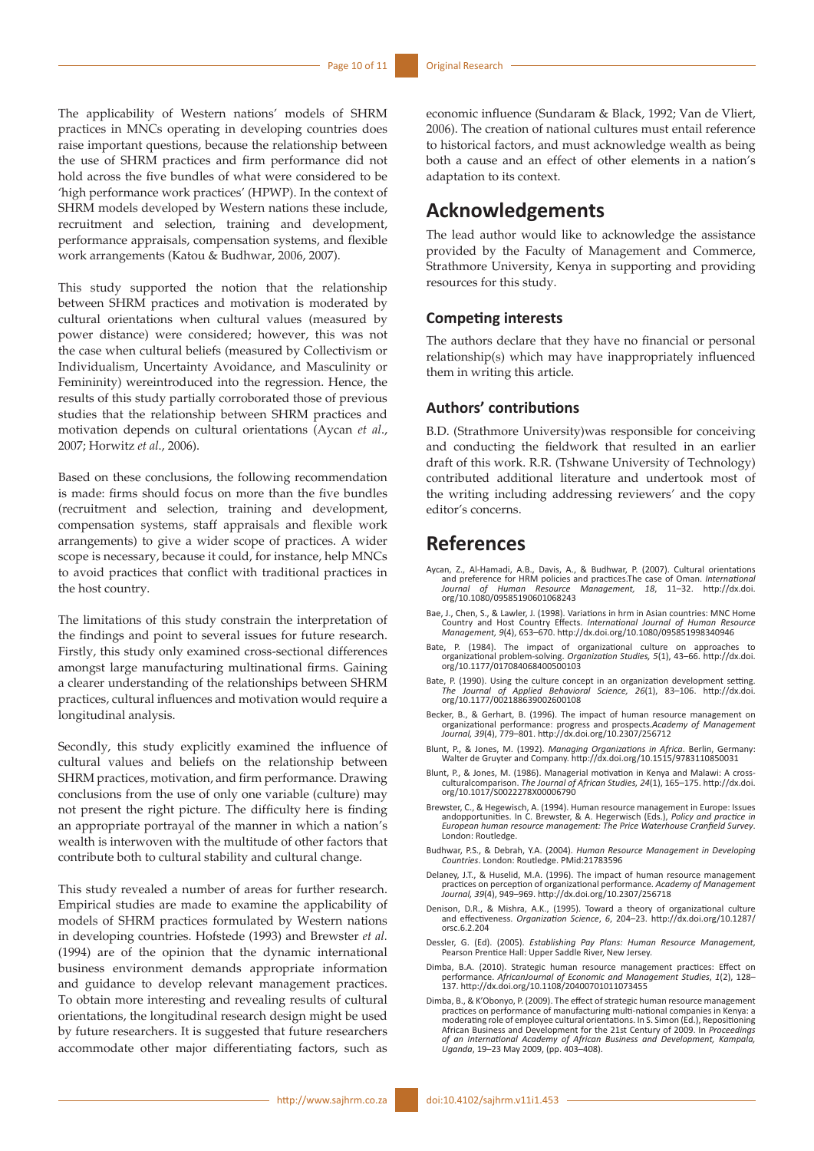The applicability of Western nations' models of SHRM practices in MNCs operating in developing countries does raise important questions, because the relationship between the use of SHRM practices and firm performance did not hold across the five bundles of what were considered to be 'high performance work practices' (HPWP). In the context of SHRM models developed by Western nations these include, recruitment and selection, training and development, performance appraisals, compensation systems, and flexible work arrangements (Katou & Budhwar, 2006, 2007).

This study supported the notion that the relationship between SHRM practices and motivation is moderated by cultural orientations when cultural values (measured by power distance) were considered; however, this was not the case when cultural beliefs (measured by Collectivism or Individualism, Uncertainty Avoidance, and Masculinity or Femininity) wereintroduced into the regression. Hence, the results of this study partially corroborated those of previous studies that the relationship between SHRM practices and motivation depends on cultural orientations (Aycan *et al*., 2007; Horwitz *et al*., 2006).

Based on these conclusions, the following recommendation is made: firms should focus on more than the five bundles (recruitment and selection, training and development, compensation systems, staff appraisals and flexible work arrangements) to give a wider scope of practices. A wider scope is necessary, because it could, for instance, help MNCs to avoid practices that conflict with traditional practices in the host country.

The limitations of this study constrain the interpretation of the findings and point to several issues for future research. Firstly, this study only examined cross-sectional differences amongst large manufacturing multinational firms. Gaining a clearer understanding of the relationships between SHRM practices, cultural influences and motivation would require a longitudinal analysis.

Secondly, this study explicitly examined the influence of cultural values and beliefs on the relationship between SHRM practices, motivation, and firm performance. Drawing conclusions from the use of only one variable (culture) may not present the right picture. The difficulty here is finding an appropriate portrayal of the manner in which a nation's wealth is interwoven with the multitude of other factors that contribute both to cultural stability and cultural change.

This study revealed a number of areas for further research. Empirical studies are made to examine the applicability of models of SHRM practices formulated by Western nations in developing countries. Hofstede (1993) and Brewster *et al.* (1994) are of the opinion that the dynamic international business environment demands appropriate information and guidance to develop relevant management practices. To obtain more interesting and revealing results of cultural orientations, the longitudinal research design might be used by future researchers. It is suggested that future researchers accommodate other major differentiating factors, such as

economic influence (Sundaram & Black, 1992; Van de Vliert, 2006). The creation of national cultures must entail reference to historical factors, and must acknowledge wealth as being both a cause and an effect of other elements in a nation's adaptation to its context.

# **Acknowledgements**

The lead author would like to acknowledge the assistance provided by the Faculty of Management and Commerce, Strathmore University, Kenya in supporting and providing resources for this study.

#### **Competing interests**

The authors declare that they have no financial or personal relationship(s) which may have inappropriately influenced them in writing this article.

#### **Authors' contributions**

B.D. (Strathmore University)was responsible for conceiving and conducting the fieldwork that resulted in an earlier draft of this work. R.R. (Tshwane University of Technology) contributed additional literature and undertook most of the writing including addressing reviewers' and the copy editor's concerns.

# **References**

- Aycan, Z., Al-Hamadi, A.B., Davis, A., & Budhwar, P. (2007). Cultural orientations<br>and preference for HRM policies and practices.The case of Oman. International<br>Journal of Human Resource Management, 18, 11-32. http://dx.do [org/10.1080/09585190601068243](http://dx.doi.org/10.1080/09585190601068243)
- Bae, J., Chen, S., & Lawler, J. (1998). Variations in hrm in Asian countries: MNC Home Country and Host Country Effects. *International Journal of Human Resource Management, 9*(4), 653–670. <http://dx.doi.org/10.1080/095851998340946>
- Bate, P. (1984). The impact of organizational culture on approaches to organizational problem-solving. *Organization Studies, 5*(1), 43–66. [http://dx.doi.](http://dx.doi.org/10.1177/017084068400500103) [org/10.1177/017084068400500103](http://dx.doi.org/10.1177/017084068400500103)
- Bate, P. (1990). Using the culture concept in an organization development setting. *The Journal of Applied Behavioral Science, 26*(1), 83–106. [http://dx.doi.](http://dx.doi.org/10.1177/002188639002600108) [org/10.1177/002188639002600108](http://dx.doi.org/10.1177/002188639002600108)
- Becker, B., & Gerhart, B. (1996). The impact of human resource management on organizational performance: progress and prospects.*Academy of Management* on Journal, 1979–801.<http://dx.doi.org/10.2307/256712>
- Blunt, P., & Jones, M. (1992). *Managing Organizations in Africa*. Berlin, Germany: Walter de Gruyter and Company.<http://dx.doi.org/10.1515/9783110850031>
- Blunt, P., & Jones, M. (1986). Managerial motivation in Kenya and Malawi: A crossculturalcomparison. *The Journal of African Studies, 24*(1), 165–175. [http://dx.doi.](http://dx.doi.org/10.1017/S0022278X00006790) [org/10.1017/S0022278X00006790](http://dx.doi.org/10.1017/S0022278X00006790)
- Brewster, C., & Hegewisch, A. (1994). Human resource management in Europe: Issues<br>andopportunities. In C. Brewster, & A. Hegerwisch (Eds.), *Policy and practice in*<br>European human resource management: The Price Waterhouse London: Routledge.
- Budhwar, P.S., & Debrah, Y.A. (2004). *Human Resource Management in Developing Countries*. London: Routledge. PMid:21783596
- Delaney, J.T., & Huselid, M.A. (1996). The impact of human resource management practices on perception of organizational performance. *Academy of Management Journal, 39*(4), 949–969.<http://dx.doi.org/10.2307/256718>
- Denison, D.R., & Mishra, A.K., (1995). Toward a theory of organizational culture and effectiveness. *Organization Science*, *6*, 204–23. [http://dx.doi.org/10.1287/](http://dx.doi.org/10.1287/orsc.6.2.204) [orsc.6.2.204](http://dx.doi.org/10.1287/orsc.6.2.204)
- Dessler, G. (Ed). (2005). *Establishing Pay Plans: Human Resource Management*, Pearson Prentice Hall: Upper Saddle River, New Jersey.
- Dimba, B.A. (2010). Strategic human resource management practices: Effect on performance. *AfricanJournal of Economic and Management Studies*, *1*(2), 128– 137.<http://dx.doi.org/10.1108/20400701011073455>
- Dimba, B., & K'Obonyo, P. (2009). The effect of strategic human resource management practices on performance of manufacturing multi-national companies in Kenya: a moderating role of employee cultural orientations. In S. Simon (Ed.), Repositioning African Business and Development for the 21st Century of 2009. In *Proceedings of an International Academy of African Business and Development, Kampala, Uganda*, 19–23 May 2009, (pp. 403–408).